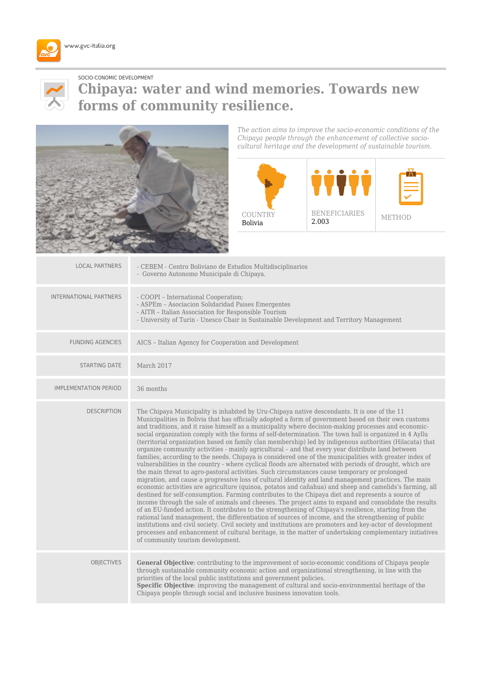



## SOCIO-CONOMIC DEVELOPMENT **Chipaya: water and wind memories. Towards new forms of community resilience.**



*The action aims to improve the socio-economic conditions of the Chipaya people through the enhancement of collective sociocultural heritage and the development of sustainable tourism.*



| <b>LOCAL PARTNERS</b>         | - CEBEM - Centro Boliviano de Estudios Multidisciplinarios<br>- Governo Autonomo Municipale di Chipaya.                                                                                                                                                                                                                                                                                                                                                                                                                                                                                                                                                                                                                                                                                                                                                                                                                                                                                                                                                                                                                                                                                                                                                                                                                                                                                                                                                                                                                                                                                                                                                                                                                                                                                                                                                                        |
|-------------------------------|--------------------------------------------------------------------------------------------------------------------------------------------------------------------------------------------------------------------------------------------------------------------------------------------------------------------------------------------------------------------------------------------------------------------------------------------------------------------------------------------------------------------------------------------------------------------------------------------------------------------------------------------------------------------------------------------------------------------------------------------------------------------------------------------------------------------------------------------------------------------------------------------------------------------------------------------------------------------------------------------------------------------------------------------------------------------------------------------------------------------------------------------------------------------------------------------------------------------------------------------------------------------------------------------------------------------------------------------------------------------------------------------------------------------------------------------------------------------------------------------------------------------------------------------------------------------------------------------------------------------------------------------------------------------------------------------------------------------------------------------------------------------------------------------------------------------------------------------------------------------------------|
| <b>INTERNATIONAL PARTNERS</b> | - COOPI - International Cooperation;<br>- ASPEm - Asociacion Solidaridad Paises Emergentes<br>- AITR - Italian Association for Responsible Tourism<br>- University of Turin - Unesco Chair in Sustainable Development and Territory Management                                                                                                                                                                                                                                                                                                                                                                                                                                                                                                                                                                                                                                                                                                                                                                                                                                                                                                                                                                                                                                                                                                                                                                                                                                                                                                                                                                                                                                                                                                                                                                                                                                 |
| <b>FUNDING AGENCIES</b>       | AICS - Italian Agency for Cooperation and Development                                                                                                                                                                                                                                                                                                                                                                                                                                                                                                                                                                                                                                                                                                                                                                                                                                                                                                                                                                                                                                                                                                                                                                                                                                                                                                                                                                                                                                                                                                                                                                                                                                                                                                                                                                                                                          |
| <b>STARTING DATE</b>          | March 2017                                                                                                                                                                                                                                                                                                                                                                                                                                                                                                                                                                                                                                                                                                                                                                                                                                                                                                                                                                                                                                                                                                                                                                                                                                                                                                                                                                                                                                                                                                                                                                                                                                                                                                                                                                                                                                                                     |
| <b>IMPLEMENTATION PERIOD</b>  | 36 months                                                                                                                                                                                                                                                                                                                                                                                                                                                                                                                                                                                                                                                                                                                                                                                                                                                                                                                                                                                                                                                                                                                                                                                                                                                                                                                                                                                                                                                                                                                                                                                                                                                                                                                                                                                                                                                                      |
| <b>DESCRIPTION</b>            | The Chipaya Municipality is inhabited by Uru-Chipaya native descendants. It is one of the 11<br>Municipalities in Bolivia that has officially adopted a form of government based on their own customs<br>and traditions, and it raise himself as a municipality where decision-making processes and economic-<br>social organization comply with the forms of self-determination. The town hall is organized in 4 Ayllu<br>(territorial organization based on family clan membership) led by indigenous authorities (Hilacata) that<br>organize community activities - mainly agricultural - and that every year distribute land between<br>families, according to the needs. Chipaya is considered one of the municipalities with greater index of<br>vulnerabilities in the country - where cyclical floods are alternated with periods of drought, which are<br>the main threat to agro-pastoral activities. Such circumstances cause temporary or prolonged<br>migration, and cause a progressive loss of cultural identity and land management practices. The main<br>economic activities are agriculture (quinoa, potatos and cañahua) and sheep and camelids's farming, all<br>destined for self-consumption. Farming contributes to the Chipaya diet and represents a source of<br>income through the sale of animals and cheeses. The project aims to expand and consolidate the results<br>of an EU-funded action. It contributes to the strengthening of Chipaya's resilience, starting from the<br>rational land management, the differentiation of sources of income, and the strengthening of public<br>institutions and civil society. Civil society and institutions are promoters and key-actor of development<br>processes and enhancement of cultural heritage, in the matter of undertaking complementary initiatives<br>of community tourism development. |
| <b>OBJECTIVES</b>             | General Objective: contributing to the improvement of socio-economic conditions of Chipaya people<br>through sustainable community economic action and organizational strengthening, in line with the<br>priorities of the local public institutions and government policies.<br>Specific Objective: improving the management of cultural and socio-environmental heritage of the<br>Chipaya people through social and inclusive business innovation tools.                                                                                                                                                                                                                                                                                                                                                                                                                                                                                                                                                                                                                                                                                                                                                                                                                                                                                                                                                                                                                                                                                                                                                                                                                                                                                                                                                                                                                    |